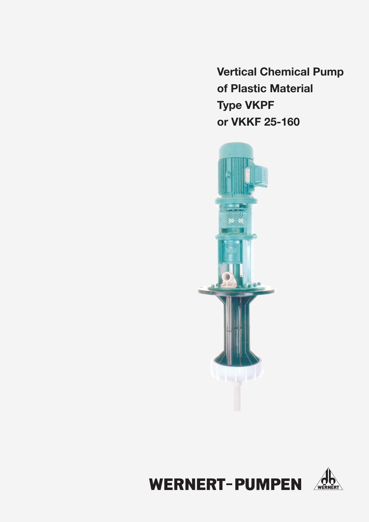**Vertical Chemical Pump** of Plastic Material **Type VKPF** or VKKF 25-160



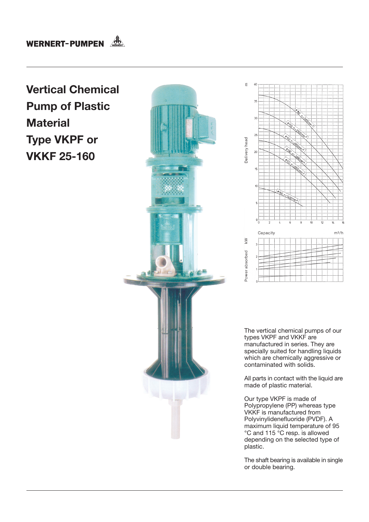## **WERNERT-PUMPEN**

## **Vertical Chemical Pump of Plastic Material Type VKPF or VKKF 25-160**





The vertical chemical pumps of our types VKPF and VKKF are manufactured in series. They are specially suited for handling liquids which are chemically aggressive or contaminated with solids.

All parts in contact with the liquid are made of plastic material.

Our type VKPF is made of Polypropylene (PP) whereas type VKKF is manufactured from Polyvinylidenefluoride (PVDF). A maximum liquid temperature of 95 °C and 115 °C resp. is allowed depending on the selected type of plastic.

The shaft bearing is available in single or double bearing.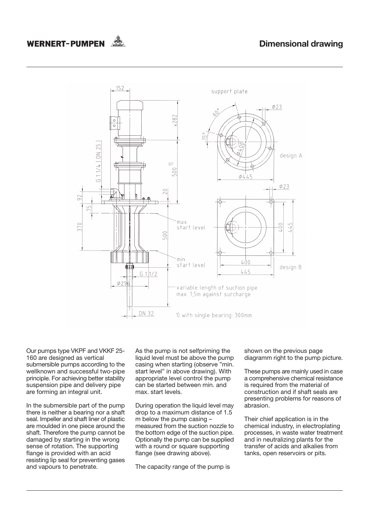## WERNERT-PUMPEN  $\mathcal{A}_{\mathbb{R}}^{\mathbb{R}}$



Our pumps type VKPF and VKKF 25-160 are designed as vertical submersible pumps according to the wellknown and successful two-pipe principle. For achieving better stability suspension pipe and delivery pipe are forming an integral unit.

In the submersible part of the pump there is neither a bearing nor a shaft seal. Impeller and shaft liner of plastic are moulded in one piece around the shaft. Therefore the pump cannot be damaged by starting in the wrong sense of rotation. The supporting flange is provided with an acid resisting lip seal for preventing gases and vapours to penetrate.

As the pump is not selfpriming the liquid level must be above the pump casing when starting (observe "min. start level" in above drawing). With appropriate level control the pump can be started between min and max. start levels.

During operation the liquid level may drop to a maximum distance of 1.5 m below the pump casing measured from the suction nozzle to the bottom edge of the suction pipe. Optionally the pump can be supplied with a round or square supporting flange (see drawing above).

The capacity range of the pump is

shown on the previous page diagramm right to the pump picture.

These pumps are mainly used in case a comprehensive chemical resistance is required from the material of construction and if shaft seals are presenting problems for reasons of abrasion.

Their chief application is in the chemical industry, in electroplating processes, in waste water treatment and in neutralizing plants for the transfer of acids and alkalies from tanks, open reservoirs or pits.